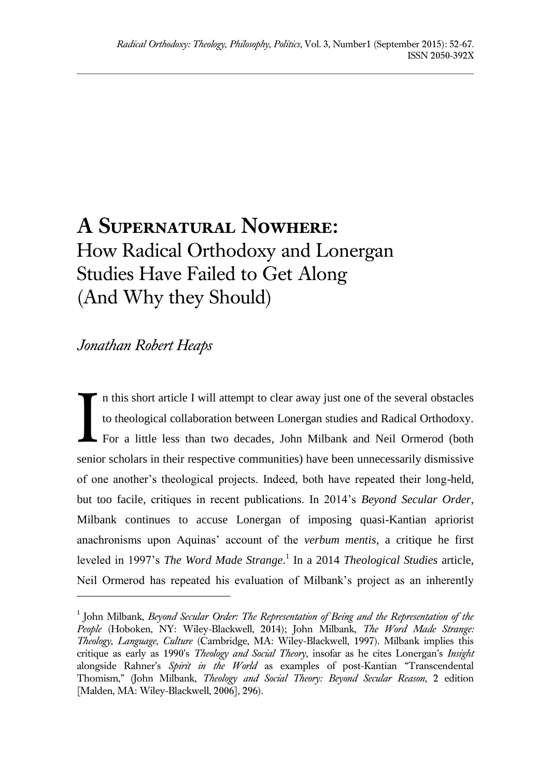# **A Supernatural Nowhere:**  How Radical Orthodoxy and Lonergan Studies Have Failed to Get Along (And Why they Should)

# *Jonathan Robert Heaps*

l

n this short article I will attempt to clear away just one of the several obstacles to theological collaboration between Lonergan studies and Radical Orthodoxy. For a little less than two decades, John Milbank and Neil Ormerod (both senior scholars in their respective communities) have been unnecessarily dismissive of one another's theological projects. Indeed, both have repeated their long-held, but too facile, critiques in recent publications. In 2014's *Beyond Secular Order*, Milbank continues to accuse Lonergan of imposing quasi-Kantian apriorist anachronisms upon Aquinas' account of the *verbum mentis*, a critique he first leveled in 1997's *The Word Made Strange*. 1 In a 2014 *Theological Studies* article, Neil Ormerod has repeated his evaluation of Milbank's project as an inherently I

<sup>&</sup>lt;sup>1</sup> John Milbank, *Beyond Secular Order: The Representation of Being and the Representation of the People* (Hoboken, NY: Wiley-Blackwell, 2014); John Milbank, *The Word Made Strange: Theology, Language, Culture* (Cambridge, MA: Wiley-Blackwell, 1997). Milbank implies this critique as early as 1990's *Theology and Social Theory*, insofar as he cites Lonergan's *Insight* alongside Rahner's *Spirit in the World* as examples of post-Kantian "Transcendental Thomism," (John Milbank, *Theology and Social Theory: Beyond Secular Reason*, 2 edition [Malden, MA: Wiley-Blackwell, 2006], 296).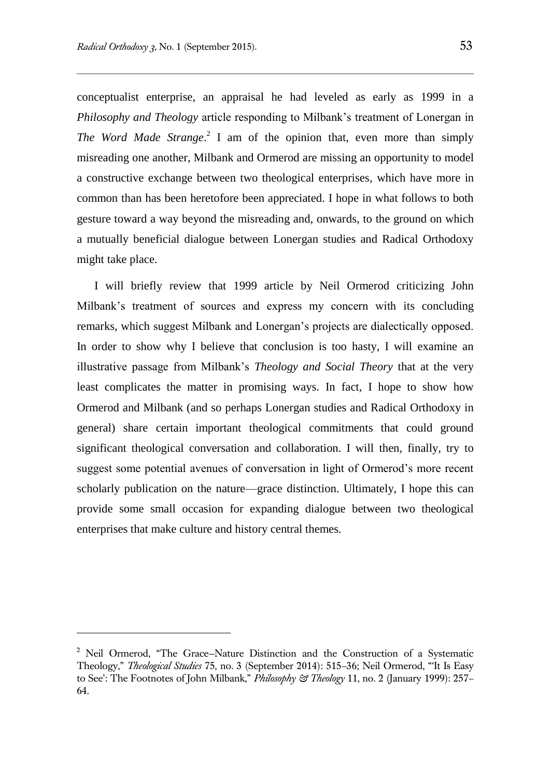conceptualist enterprise, an appraisal he had leveled as early as 1999 in a *Philosophy and Theology* article responding to Milbank's treatment of Lonergan in *The Word Made Strange*. 2 I am of the opinion that, even more than simply misreading one another, Milbank and Ormerod are missing an opportunity to model a constructive exchange between two theological enterprises, which have more in common than has been heretofore been appreciated. I hope in what follows to both gesture toward a way beyond the misreading and, onwards, to the ground on which a mutually beneficial dialogue between Lonergan studies and Radical Orthodoxy might take place.

I will briefly review that 1999 article by Neil Ormerod criticizing John Milbank's treatment of sources and express my concern with its concluding remarks, which suggest Milbank and Lonergan's projects are dialectically opposed. In order to show why I believe that conclusion is too hasty, I will examine an illustrative passage from Milbank's *Theology and Social Theory* that at the very least complicates the matter in promising ways. In fact, I hope to show how Ormerod and Milbank (and so perhaps Lonergan studies and Radical Orthodoxy in general) share certain important theological commitments that could ground significant theological conversation and collaboration. I will then, finally, try to suggest some potential avenues of conversation in light of Ormerod's more recent scholarly publication on the nature—grace distinction. Ultimately, I hope this can provide some small occasion for expanding dialogue between two theological enterprises that make culture and history central themes.

l

<sup>2</sup> Neil Ormerod, "The Grace—Nature Distinction and the Construction of a Systematic Theology," *Theological Studies* 75, no. 3 (September 2014): 515–36; Neil Ormerod, "'It Is Easy to See': The Footnotes of John Milbank," *Philosophy & Theology* 11, no. 2 (January 1999): 257– 64.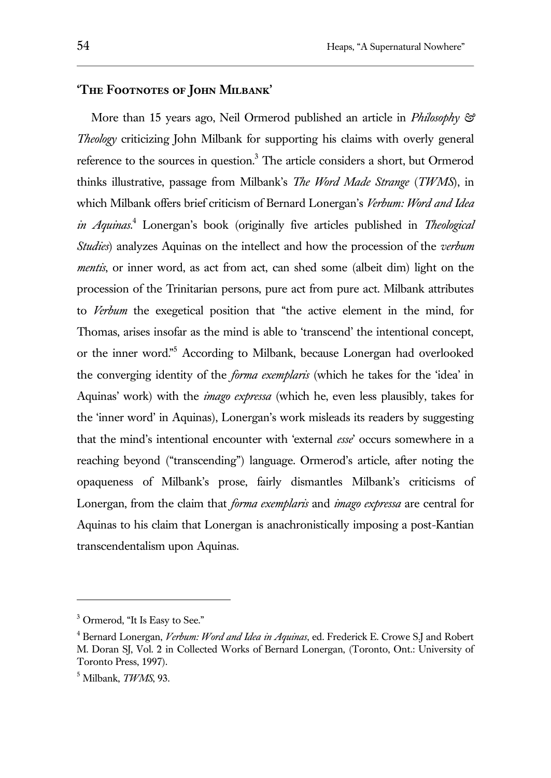### **'The Footnotes of John Milbank'**

More than 15 years ago, Neil Ormerod published an article in *Philosophy & Theology* criticizing John Milbank for supporting his claims with overly general reference to the sources in question. $3$  The article considers a short, but Ormerod thinks illustrative, passage from Milbank's *The Word Made Strange* (*TWMS*), in which Milbank offers brief criticism of Bernard Lonergan's *Verbum: Word and Idea in Aquinas*. <sup>4</sup> Lonergan's book (originally five articles published in *Theological Studies*) analyzes Aquinas on the intellect and how the procession of the *verbum mentis*, or inner word, as act from act, can shed some (albeit dim) light on the procession of the Trinitarian persons, pure act from pure act. Milbank attributes to *Verbum* the exegetical position that "the active element in the mind, for Thomas, arises insofar as the mind is able to 'transcend' the intentional concept, or the inner word."<sup>5</sup> According to Milbank, because Lonergan had overlooked the converging identity of the *forma exemplaris* (which he takes for the 'idea' in Aquinas' work) with the *imago expressa* (which he, even less plausibly, takes for the 'inner word' in Aquinas), Lonergan's work misleads its readers by suggesting that the mind's intentional encounter with 'external *esse*' occurs somewhere in a reaching beyond ("transcending") language. Ormerod's article, after noting the opaqueness of Milbank's prose, fairly dismantles Milbank's criticisms of Lonergan, from the claim that *forma exemplaris* and *imago expressa* are central for Aquinas to his claim that Lonergan is anachronistically imposing a post-Kantian transcendentalism upon Aquinas.

<sup>3</sup> Ormerod, "It Is Easy to See."

<sup>4</sup> Bernard Lonergan, *Verbum: Word and Idea in Aquinas*, ed. Frederick E. Crowe S.J and Robert M. Doran SJ, Vol. 2 in Collected Works of Bernard Lonergan, (Toronto, Ont.: University of Toronto Press, 1997).

<sup>5</sup> Milbank, *TWMS*, 93.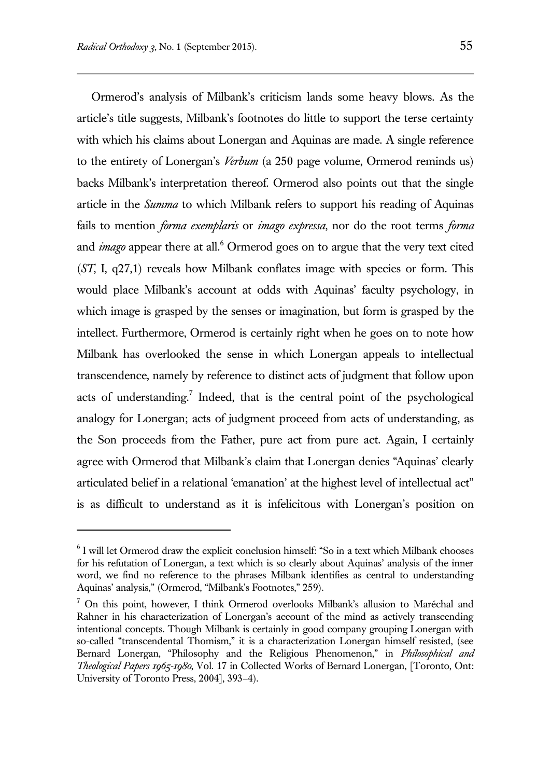$\overline{a}$ 

Ormerod's analysis of Milbank's criticism lands some heavy blows. As the article's title suggests, Milbank's footnotes do little to support the terse certainty with which his claims about Lonergan and Aquinas are made. A single reference to the entirety of Lonergan's *Verbum* (a 250 page volume, Ormerod reminds us) backs Milbank's interpretation thereof. Ormerod also points out that the single article in the *Summa* to which Milbank refers to support his reading of Aquinas fails to mention *forma exemplaris* or *imago expressa*, nor do the root terms *forma* and *imago* appear there at all.<sup>6</sup> Ormerod goes on to argue that the very text cited (*ST*, I, q27,1) reveals how Milbank conflates image with species or form. This would place Milbank's account at odds with Aquinas' faculty psychology, in which image is grasped by the senses or imagination, but form is grasped by the intellect. Furthermore, Ormerod is certainly right when he goes on to note how Milbank has overlooked the sense in which Lonergan appeals to intellectual transcendence, namely by reference to distinct acts of judgment that follow upon acts of understanding.<sup>7</sup> Indeed, that is the central point of the psychological analogy for Lonergan; acts of judgment proceed from acts of understanding, as the Son proceeds from the Father, pure act from pure act. Again, I certainly agree with Ormerod that Milbank's claim that Lonergan denies "Aquinas' clearly articulated belief in a relational 'emanation' at the highest level of intellectual act" is as difficult to understand as it is infelicitous with Lonergan's position on

<sup>6</sup> I will let Ormerod draw the explicit conclusion himself: "So in a text which Milbank chooses for his refutation of Lonergan, a text which is so clearly about Aquinas' analysis of the inner word, we find no reference to the phrases Milbank identifies as central to understanding Aquinas' analysis," (Ormerod, "Milbank's Footnotes," 259).

 $<sup>7</sup>$  On this point, however, I think Ormerod overlooks Milbank's allusion to Maréchal and</sup> Rahner in his characterization of Lonergan's account of the mind as actively transcending intentional concepts. Though Milbank is certainly in good company grouping Lonergan with so-called "transcendental Thomism," it is a characterization Lonergan himself resisted, (see Bernard Lonergan, "Philosophy and the Religious Phenomenon," in *Philosophical and Theological Papers 1965-1980*, Vol. 17 in Collected Works of Bernard Lonergan, [Toronto, Ont: University of Toronto Press, 2004], 393–4).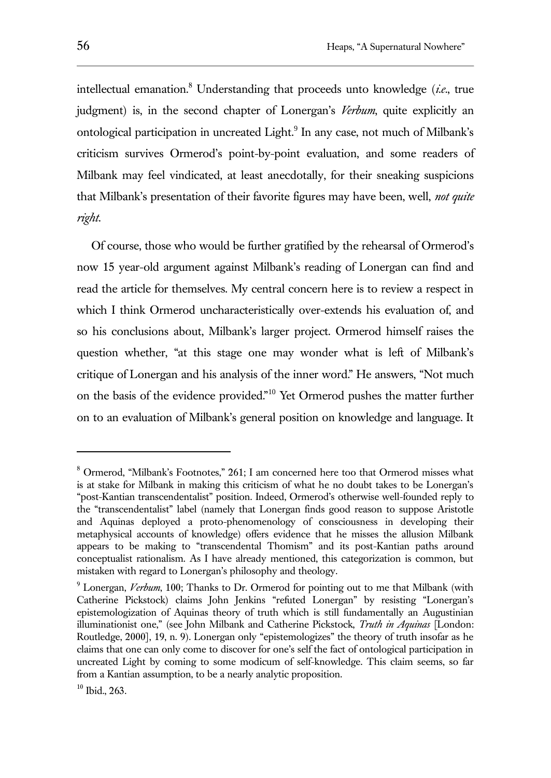intellectual emanation.<sup>8</sup> Understanding that proceeds unto knowledge (*i.e.*, true judgment) is, in the second chapter of Lonergan's *Verbum*, quite explicitly an ontological participation in uncreated Light.<sup>9</sup> In any case, not much of Milbank's criticism survives Ormerod's point-by-point evaluation, and some readers of Milbank may feel vindicated, at least anecdotally, for their sneaking suspicions that Milbank's presentation of their favorite figures may have been, well, *not quite right*.

Of course, those who would be further gratified by the rehearsal of Ormerod's now 15 year-old argument against Milbank's reading of Lonergan can find and read the article for themselves. My central concern here is to review a respect in which I think Ormerod uncharacteristically over-extends his evaluation of, and so his conclusions about, Milbank's larger project. Ormerod himself raises the question whether, "at this stage one may wonder what is left of Milbank's critique of Lonergan and his analysis of the inner word." He answers, "Not much on the basis of the evidence provided."<sup>10</sup> Yet Ormerod pushes the matter further on to an evaluation of Milbank's general position on knowledge and language. It

<sup>8</sup> Ormerod, "Milbank's Footnotes," 261; I am concerned here too that Ormerod misses what is at stake for Milbank in making this criticism of what he no doubt takes to be Lonergan's "post-Kantian transcendentalist" position. Indeed, Ormerod's otherwise well-founded reply to the "transcendentalist" label (namely that Lonergan finds good reason to suppose Aristotle and Aquinas deployed a proto-phenomenology of consciousness in developing their metaphysical accounts of knowledge) offers evidence that he misses the allusion Milbank appears to be making to "transcendental Thomism" and its post-Kantian paths around conceptualist rationalism. As I have already mentioned, this categorization is common, but mistaken with regard to Lonergan's philosophy and theology.

<sup>9</sup> Lonergan, *Verbum*, 100; Thanks to Dr. Ormerod for pointing out to me that Milbank (with Catherine Pickstock) claims John Jenkins "refuted Lonergan" by resisting "Lonergan's epistemologization of Aquinas theory of truth which is still fundamentally an Augustinian illuminationist one," (see John Milbank and Catherine Pickstock, *Truth in Aquinas* [London: Routledge, 2000], 19, n. 9). Lonergan only "epistemologizes" the theory of truth insofar as he claims that one can only come to discover for one's self the fact of ontological participation in uncreated Light by coming to some modicum of self-knowledge. This claim seems, so far from a Kantian assumption, to be a nearly analytic proposition.

<sup>10</sup> Ibid., 263.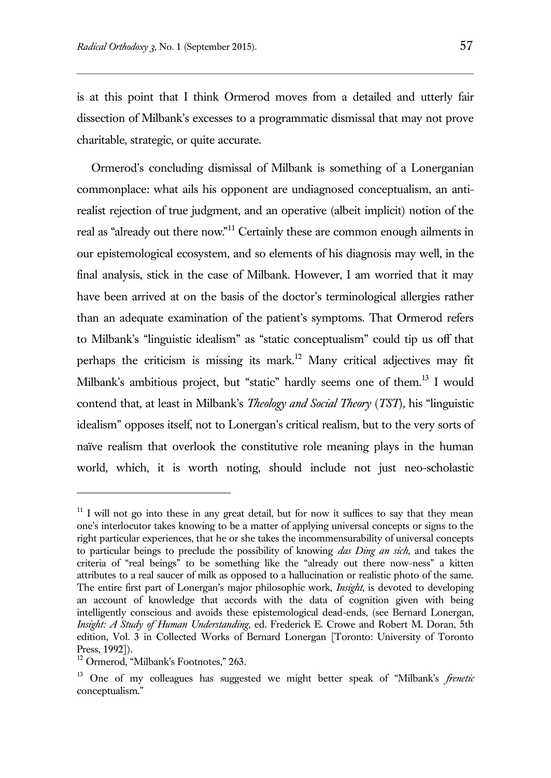is at this point that I think Ormerod moves from a detailed and utterly fair dissection of Milbank's excesses to a programmatic dismissal that may not prove charitable, strategic, or quite accurate.

Ormerod's concluding dismissal of Milbank is something of a Lonerganian commonplace: what ails his opponent are undiagnosed conceptualism, an antirealist rejection of true judgment, and an operative (albeit implicit) notion of the real as "already out there now."<sup>11</sup> Certainly these are common enough ailments in our epistemological ecosystem, and so elements of his diagnosis may well, in the final analysis, stick in the case of Milbank. However, I am worried that it may have been arrived at on the basis of the doctor's terminological allergies rather than an adequate examination of the patient's symptoms. That Ormerod refers to Milbank's "linguistic idealism" as "static conceptualism" could tip us off that perhaps the criticism is missing its mark.<sup>12</sup> Many critical adjectives may fit Milbank's ambitious project, but "static" hardly seems one of them.<sup>13</sup> I would contend that, at least in Milbank's *Theology and Social Theory* (*TST*)*,* his "linguistic idealism" opposes itself, not to Lonergan's critical realism, but to the very sorts of naïve realism that overlook the constitutive role meaning plays in the human world, which, it is worth noting, should include not just neo-scholastic

 $11$  I will not go into these in any great detail, but for now it suffices to say that they mean one's interlocutor takes knowing to be a matter of applying universal concepts or signs to the right particular experiences, that he or she takes the incommensurability of universal concepts to particular beings to preclude the possibility of knowing *das Ding an sich*, and takes the criteria of "real beings" to be something like the "already out there now-ness" a kitten attributes to a real saucer of milk as opposed to a hallucination or realistic photo of the same. The entire first part of Lonergan's major philosophic work, *Insight*, is devoted to developing an account of knowledge that accords with the data of cognition given with being intelligently conscious and avoids these epistemological dead-ends, (see Bernard Lonergan, *Insight: A Study of Human Understanding*, ed. Frederick E. Crowe and Robert M. Doran, 5th edition, Vol. 3 in Collected Works of Bernard Lonergan [Toronto: University of Toronto Press, 1992]).

<sup>&</sup>lt;sup>12</sup> Ormerod, "Milbank's Footnotes," 263.

<sup>13</sup> One of my colleagues has suggested we might better speak of "Milbank's *frenetic* conceptualism."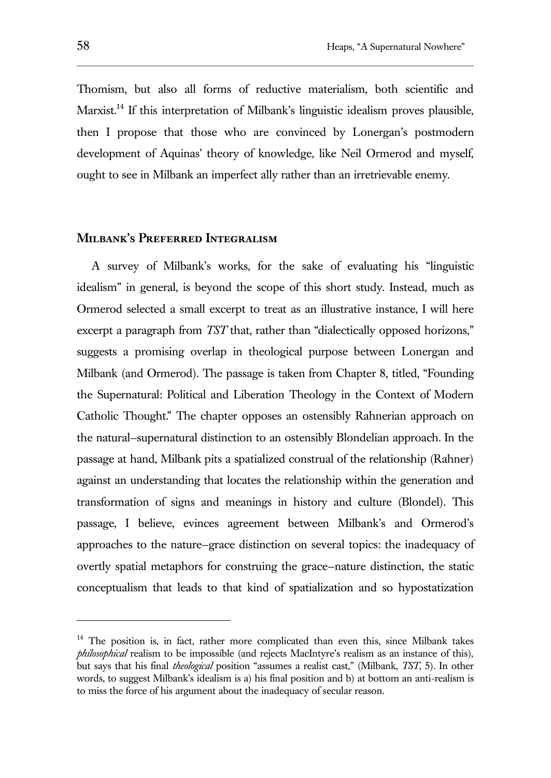Thomism, but also all forms of reductive materialism, both scientific and Marxist.<sup>14</sup> If this interpretation of Milbank's linguistic idealism proves plausible, then I propose that those who are convinced by Lonergan's postmodern development of Aquinas' theory of knowledge, like Neil Ormerod and myself, ought to see in Milbank an imperfect ally rather than an irretrievable enemy.

# **Milbank's Preferred Integralism**

A survey of Milbank's works, for the sake of evaluating his "linguistic idealism" in general, is beyond the scope of this short study. Instead, much as Ormerod selected a small excerpt to treat as an illustrative instance, I will here excerpt a paragraph from *TST* that, rather than "dialectically opposed horizons," suggests a promising overlap in theological purpose between Lonergan and Milbank (and Ormerod). The passage is taken from Chapter 8, titled, "Founding the Supernatural: Political and Liberation Theology in the Context of Modern Catholic Thought." The chapter opposes an ostensibly Rahnerian approach on the natural—supernatural distinction to an ostensibly Blondelian approach. In the passage at hand, Milbank pits a spatialized construal of the relationship (Rahner) against an understanding that locates the relationship within the generation and transformation of signs and meanings in history and culture (Blondel). This passage, I believe, evinces agreement between Milbank's and Ormerod's approaches to the nature—grace distinction on several topics: the inadequacy of overtly spatial metaphors for construing the grace—nature distinction, the static conceptualism that leads to that kind of spatialization and so hypostatization

<sup>&</sup>lt;sup>14</sup> The position is, in fact, rather more complicated than even this, since Milbank takes *philosophical* realism to be impossible (and rejects MacIntyre's realism as an instance of this), but says that his final *theological* position "assumes a realist cast," (Milbank*, TST*, 5). In other words, to suggest Milbank's idealism is a) his final position and b) at bottom an anti-realism is to miss the force of his argument about the inadequacy of secular reason.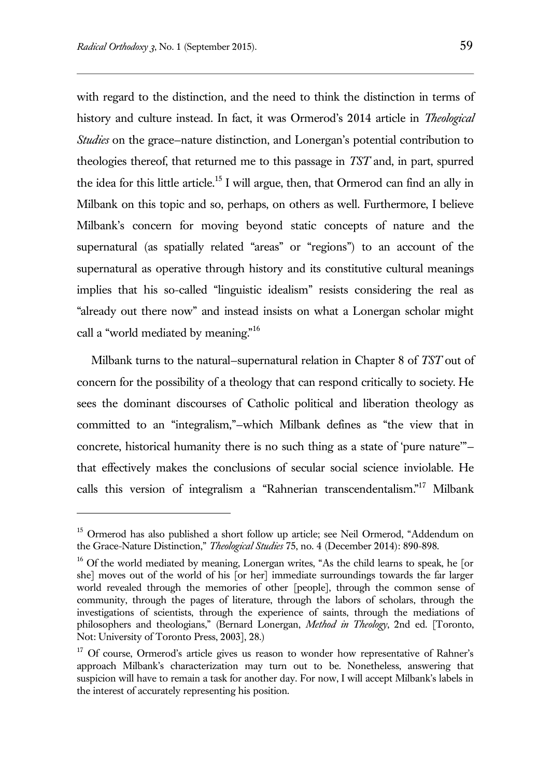$\overline{a}$ 

with regard to the distinction, and the need to think the distinction in terms of history and culture instead. In fact, it was Ormerod's 2014 article in *Theological Studies* on the grace—nature distinction, and Lonergan's potential contribution to theologies thereof, that returned me to this passage in *TST* and, in part, spurred the idea for this little article.<sup>15</sup> I will argue, then, that Ormerod can find an ally in Milbank on this topic and so, perhaps, on others as well. Furthermore, I believe Milbank's concern for moving beyond static concepts of nature and the supernatural (as spatially related "areas" or "regions") to an account of the supernatural as operative through history and its constitutive cultural meanings implies that his so-called "linguistic idealism" resists considering the real as "already out there now" and instead insists on what a Lonergan scholar might call a "world mediated by meaning."<sup>16</sup>

Milbank turns to the natural—supernatural relation in Chapter 8 of *TST* out of concern for the possibility of a theology that can respond critically to society. He sees the dominant discourses of Catholic political and liberation theology as committed to an "integralism,"—which Milbank defines as "the view that in concrete, historical humanity there is no such thing as a state of 'pure nature'" that effectively makes the conclusions of secular social science inviolable. He calls this version of integralism a "Rahnerian transcendentalism." <sup>17</sup> Milbank

<sup>&</sup>lt;sup>15</sup> Ormerod has also published a short follow up article; see Neil Ormerod, "Addendum on the Grace-Nature Distinction," *Theological Studies* 75, no. 4 (December 2014): 890-898.

<sup>&</sup>lt;sup>16</sup> Of the world mediated by meaning, Lonergan writes, "As the child learns to speak, he [or she] moves out of the world of his [or her] immediate surroundings towards the far larger world revealed through the memories of other [people], through the common sense of community, through the pages of literature, through the labors of scholars, through the investigations of scientists, through the experience of saints, through the mediations of philosophers and theologians," (Bernard Lonergan, *Method in Theology*, 2nd ed. [Toronto, Not: University of Toronto Press, 2003], 28.)

<sup>&</sup>lt;sup>17</sup> Of course, Ormerod's article gives us reason to wonder how representative of Rahner's approach Milbank's characterization may turn out to be. Nonetheless, answering that suspicion will have to remain a task for another day. For now, I will accept Milbank's labels in the interest of accurately representing his position.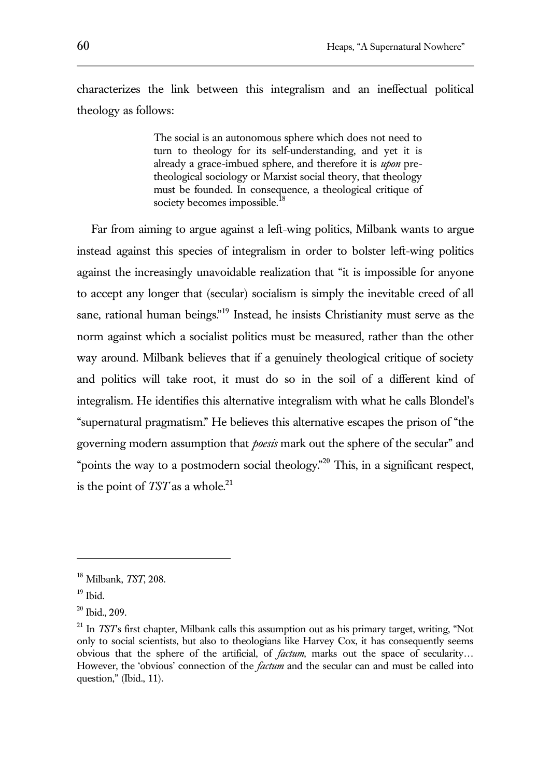characterizes the link between this integralism and an ineffectual political theology as follows:

> The social is an autonomous sphere which does not need to turn to theology for its self-understanding, and yet it is already a grace-imbued sphere, and therefore it is *upon* pretheological sociology or Marxist social theory, that theology must be founded. In consequence, a theological critique of society becomes impossible.<sup>1</sup>

Far from aiming to argue against a left-wing politics, Milbank wants to argue instead against this species of integralism in order to bolster left-wing politics against the increasingly unavoidable realization that "it is impossible for anyone to accept any longer that (secular) socialism is simply the inevitable creed of all sane, rational human beings."<sup>19</sup> Instead, he insists Christianity must serve as the norm against which a socialist politics must be measured, rather than the other way around. Milbank believes that if a genuinely theological critique of society and politics will take root, it must do so in the soil of a different kind of integralism. He identifies this alternative integralism with what he calls Blondel's "supernatural pragmatism." He believes this alternative escapes the prison of "the governing modern assumption that *poesis* mark out the sphere of the secular" and "points the way to a postmodern social theology."<sup>20</sup> This, in a significant respect, is the point of  $TST$  as a whole.<sup>21</sup>

<sup>18</sup> Milbank, *TST*, 208.

 $19$  Ibid.

 $20$  Ibid., 209.

<sup>&</sup>lt;sup>21</sup> In *TST*'s first chapter, Milbank calls this assumption out as his primary target, writing, "Not only to social scientists, but also to theologians like Harvey Cox, it has consequently seems obvious that the sphere of the artificial, of *factum*, marks out the space of secularity… However, the 'obvious' connection of the *factum* and the secular can and must be called into question," (Ibid., 11).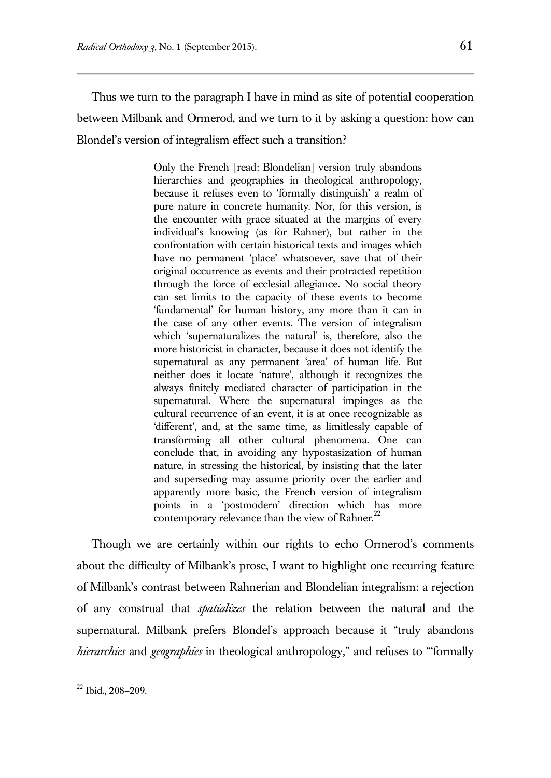Thus we turn to the paragraph I have in mind as site of potential cooperation between Milbank and Ormerod, and we turn to it by asking a question: how can Blondel's version of integralism effect such a transition?

> Only the French [read: Blondelian] version truly abandons hierarchies and geographies in theological anthropology, because it refuses even to 'formally distinguish' a realm of pure nature in concrete humanity. Nor, for this version, is the encounter with grace situated at the margins of every individual's knowing (as for Rahner), but rather in the confrontation with certain historical texts and images which have no permanent 'place' whatsoever, save that of their original occurrence as events and their protracted repetition through the force of ecclesial allegiance. No social theory can set limits to the capacity of these events to become 'fundamental' for human history, any more than it can in the case of any other events. The version of integralism which 'supernaturalizes the natural' is, therefore, also the more historicist in character, because it does not identify the supernatural as any permanent 'area' of human life. But neither does it locate 'nature', although it recognizes the always finitely mediated character of participation in the supernatural. Where the supernatural impinges as the cultural recurrence of an event, it is at once recognizable as 'different', and, at the same time, as limitlessly capable of transforming all other cultural phenomena. One can conclude that, in avoiding any hypostasization of human nature, in stressing the historical, by insisting that the later and superseding may assume priority over the earlier and apparently more basic, the French version of integralism points in a 'postmodern' direction which has more contemporary relevance than the view of Rahner.<sup>22</sup>

Though we are certainly within our rights to echo Ormerod's comments about the difficulty of Milbank's prose, I want to highlight one recurring feature of Milbank's contrast between Rahnerian and Blondelian integralism: a rejection of any construal that *spatializes* the relation between the natural and the supernatural. Milbank prefers Blondel's approach because it "truly abandons *hierarchies* and *geographies* in theological anthropology," and refuses to "'formally

<sup>22</sup> Ibid., 208–209.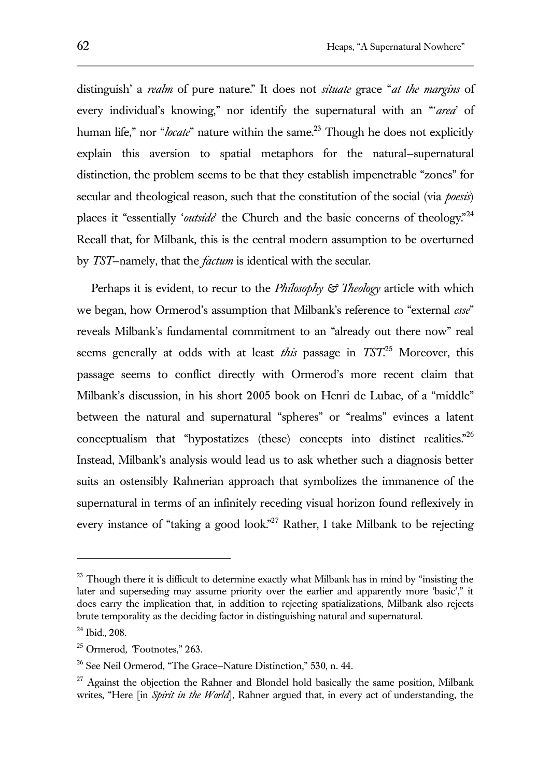distinguish' a *realm* of pure nature." It does not *situate* grace "*at the margins* of every individual's knowing," nor identify the supernatural with an "'*area*' of human life," nor "*locate*" nature within the same.<sup>23</sup> Though he does not explicitly explain this aversion to spatial metaphors for the natural—supernatural distinction, the problem seems to be that they establish impenetrable "zones" for secular and theological reason, such that the constitution of the social (via *poesis*) places it "essentially '*outside*' the Church and the basic concerns of theology."<sup>24</sup> Recall that, for Milbank, this is the central modern assumption to be overturned by *TST*—namely, that the *factum* is identical with the secular.

Perhaps it is evident, to recur to the *Philosophy & Theology* article with which we began, how Ormerod's assumption that Milbank's reference to "external *esse*" reveals Milbank's fundamental commitment to an "already out there now" real seems generally at odds with at least *this* passage in *TST*. <sup>25</sup> Moreover, this passage seems to conflict directly with Ormerod's more recent claim that Milbank's discussion, in his short 2005 book on Henri de Lubac*,* of a "middle" between the natural and supernatural "spheres" or "realms" evinces a latent conceptualism that "hypostatizes (these) concepts into distinct realities. $^{26}$ Instead, Milbank's analysis would lead us to ask whether such a diagnosis better suits an ostensibly Rahnerian approach that symbolizes the immanence of the supernatural in terms of an infinitely receding visual horizon found reflexively in every instance of "taking a good look."<sup>27</sup> Rather, I take Milbank to be rejecting

<sup>&</sup>lt;sup>23</sup> Though there it is difficult to determine exactly what Milbank has in mind by "insisting the later and superseding may assume priority over the earlier and apparently more 'basic'," it does carry the implication that, in addition to rejecting spatializations, Milbank also rejects brute temporality as the deciding factor in distinguishing natural and supernatural.

 $24$  Ibid., 208.

<sup>25</sup> Ormerod*, "*Footnotes," 263.

<sup>26</sup> See Neil Ormerod, "The Grace—Nature Distinction," 530, n. 44.

 $27$  Against the objection the Rahner and Blondel hold basically the same position, Milbank writes, "Here [in *Spirit in the World*], Rahner argued that, in every act of understanding, the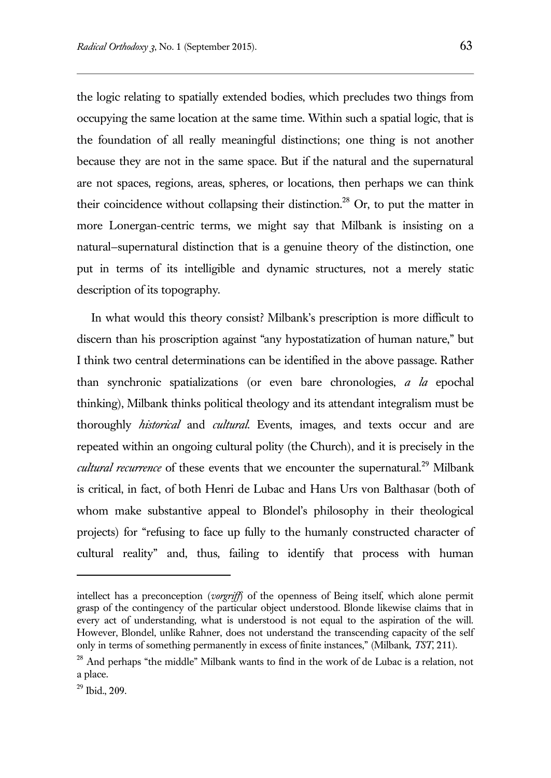the logic relating to spatially extended bodies, which precludes two things from occupying the same location at the same time. Within such a spatial logic, that is the foundation of all really meaningful distinctions; one thing is not another because they are not in the same space. But if the natural and the supernatural are not spaces, regions, areas, spheres, or locations, then perhaps we can think their coincidence without collapsing their distinction.<sup>28</sup> Or, to put the matter in more Lonergan-centric terms, we might say that Milbank is insisting on a natural—supernatural distinction that is a genuine theory of the distinction, one put in terms of its intelligible and dynamic structures, not a merely static description of its topography.

In what would this theory consist? Milbank's prescription is more difficult to discern than his proscription against "any hypostatization of human nature," but I think two central determinations can be identified in the above passage. Rather than synchronic spatializations (or even bare chronologies, *a la* epochal thinking), Milbank thinks political theology and its attendant integralism must be thoroughly *historical* and *cultural*. Events, images, and texts occur and are repeated within an ongoing cultural polity (the Church), and it is precisely in the *cultural recurrence* of these events that we encounter the supernatural.<sup>29</sup> Milbank is critical, in fact, of both Henri de Lubac and Hans Urs von Balthasar (both of whom make substantive appeal to Blondel's philosophy in their theological projects) for "refusing to face up fully to the humanly constructed character of cultural reality" and, thus, failing to identify that process with human

intellect has a preconception (*vorgriff*) of the openness of Being itself, which alone permit grasp of the contingency of the particular object understood. Blonde likewise claims that in every act of understanding, what is understood is not equal to the aspiration of the will. However, Blondel, unlike Rahner, does not understand the transcending capacity of the self only in terms of something permanently in excess of finite instances," (Milbank, *TST*, 211).

<sup>&</sup>lt;sup>28</sup> And perhaps "the middle" Milbank wants to find in the work of de Lubac is a relation, not a place.

<sup>29</sup> Ibid., 209.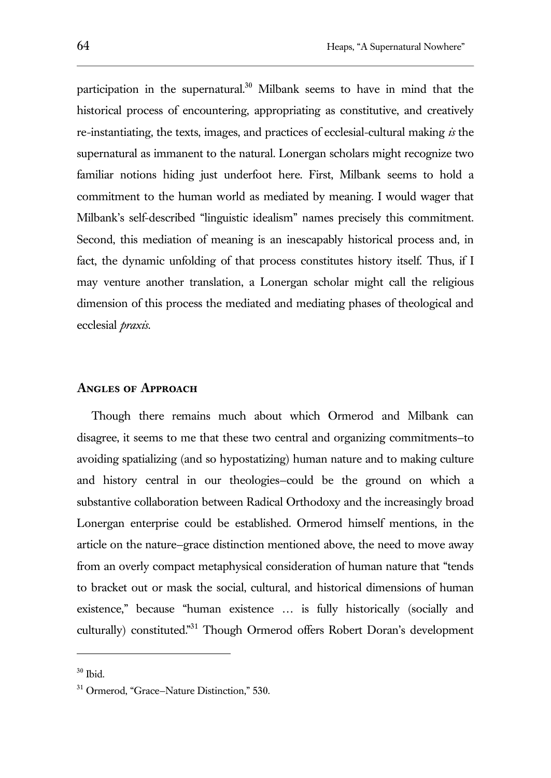participation in the supernatural.<sup>30</sup> Milbank seems to have in mind that the historical process of encountering, appropriating as constitutive, and creatively re-instantiating, the texts, images, and practices of ecclesial-cultural making *is* the supernatural as immanent to the natural. Lonergan scholars might recognize two familiar notions hiding just underfoot here. First, Milbank seems to hold a commitment to the human world as mediated by meaning. I would wager that Milbank's self-described "linguistic idealism" names precisely this commitment. Second, this mediation of meaning is an inescapably historical process and, in fact, the dynamic unfolding of that process constitutes history itself. Thus, if I may venture another translation, a Lonergan scholar might call the religious dimension of this process the mediated and mediating phases of theological and ecclesial *praxis*.

## **Angles of Approach**

Though there remains much about which Ormerod and Milbank can disagree, it seems to me that these two central and organizing commitments—to avoiding spatializing (and so hypostatizing) human nature and to making culture and history central in our theologies—could be the ground on which a substantive collaboration between Radical Orthodoxy and the increasingly broad Lonergan enterprise could be established. Ormerod himself mentions, in the article on the nature—grace distinction mentioned above, the need to move away from an overly compact metaphysical consideration of human nature that "tends to bracket out or mask the social, cultural, and historical dimensions of human existence," because "human existence … is fully historically (socially and culturally) constituted."<sup>31</sup> Though Ormerod offers Robert Doran's development

<sup>30</sup> Ibid.

<sup>&</sup>lt;sup>31</sup> Ormerod, "Grace-Nature Distinction," 530.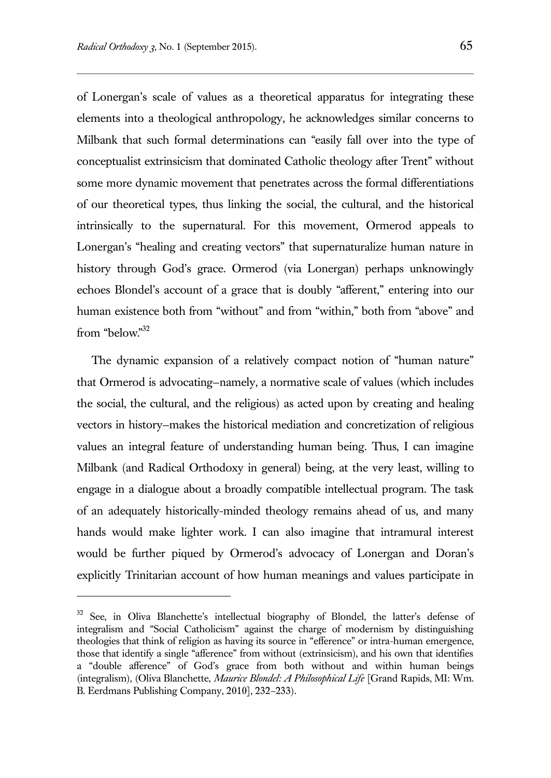l

of Lonergan's scale of values as a theoretical apparatus for integrating these elements into a theological anthropology, he acknowledges similar concerns to Milbank that such formal determinations can "easily fall over into the type of conceptualist extrinsicism that dominated Catholic theology after Trent" without some more dynamic movement that penetrates across the formal differentiations of our theoretical types, thus linking the social, the cultural, and the historical intrinsically to the supernatural. For this movement, Ormerod appeals to Lonergan's "healing and creating vectors" that supernaturalize human nature in history through God's grace. Ormerod (via Lonergan) perhaps unknowingly echoes Blondel's account of a grace that is doubly "afferent," entering into our human existence both from "without" and from "within," both from "above" and from "below."<sup>32</sup>

The dynamic expansion of a relatively compact notion of "human nature" that Ormerod is advocating—namely, a normative scale of values (which includes the social, the cultural, and the religious) as acted upon by creating and healing vectors in history—makes the historical mediation and concretization of religious values an integral feature of understanding human being. Thus, I can imagine Milbank (and Radical Orthodoxy in general) being, at the very least, willing to engage in a dialogue about a broadly compatible intellectual program. The task of an adequately historically-minded theology remains ahead of us, and many hands would make lighter work. I can also imagine that intramural interest would be further piqued by Ormerod's advocacy of Lonergan and Doran's explicitly Trinitarian account of how human meanings and values participate in

See, in Oliva Blanchette's intellectual biography of Blondel, the latter's defense of integralism and "Social Catholicism" against the charge of modernism by distinguishing theologies that think of religion as having its source in "efference" or intra-human emergence, those that identify a single "afference" from without (extrinsicism), and his own that identifies a "double afference" of God's grace from both without and within human beings (integralism), (Oliva Blanchette, *Maurice Blondel: A Philosophical Life* [Grand Rapids, MI: Wm. B. Eerdmans Publishing Company, 2010], 232–233).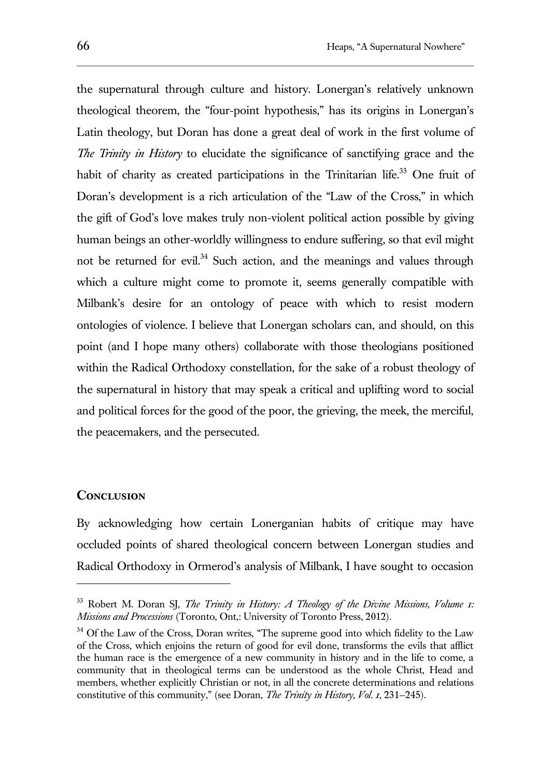the supernatural through culture and history. Lonergan's relatively unknown theological theorem, the "four-point hypothesis," has its origins in Lonergan's Latin theology, but Doran has done a great deal of work in the first volume of *The Trinity in History* to elucidate the significance of sanctifying grace and the habit of charity as created participations in the Trinitarian life.<sup>33</sup> One fruit of Doran's development is a rich articulation of the "Law of the Cross," in which the gift of God's love makes truly non-violent political action possible by giving human beings an other-worldly willingness to endure suffering, so that evil might not be returned for evil.<sup>34</sup> Such action, and the meanings and values through which a culture might come to promote it, seems generally compatible with Milbank's desire for an ontology of peace with which to resist modern ontologies of violence. I believe that Lonergan scholars can, and should, on this point (and I hope many others) collaborate with those theologians positioned within the Radical Orthodoxy constellation, for the sake of a robust theology of the supernatural in history that may speak a critical and uplifting word to social and political forces for the good of the poor, the grieving, the meek, the merciful, the peacemakers, and the persecuted.

#### **Conclusion**

l

By acknowledging how certain Lonerganian habits of critique may have occluded points of shared theological concern between Lonergan studies and Radical Orthodoxy in Ormerod's analysis of Milbank, I have sought to occasion

<sup>&</sup>lt;sup>33</sup> Robert M. Doran SJ, *The Trinity in History: A Theology of the Divine Missions, Volume 1: Missions and Processions* (Toronto, Ont,: University of Toronto Press, 2012).

<sup>&</sup>lt;sup>34</sup> Of the Law of the Cross, Doran writes, "The supreme good into which fidelity to the Law of the Cross, which enjoins the return of good for evil done, transforms the evils that afflict the human race is the emergence of a new community in history and in the life to come, a community that in theological terms can be understood as the whole Christ, Head and members, whether explicitly Christian or not, in all the concrete determinations and relations constitutive of this community," (see Doran, *The Trinity in History, Vol. 1*, 231—245).